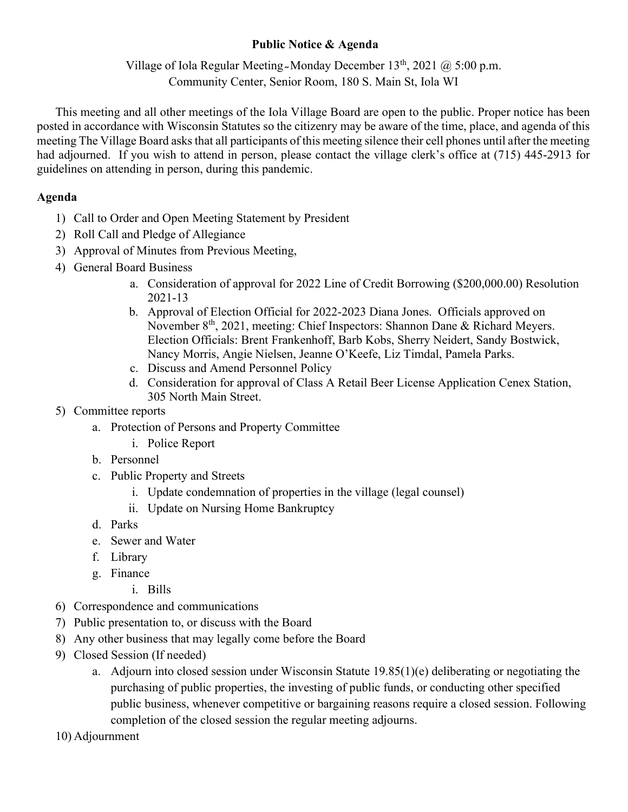## Public Notice & Agenda

Village of Iola Regular Meeting Monday December  $13<sup>th</sup>$ , 2021  $\omega$  5:00 p.m. Community Center, Senior Room, 180 S. Main St, Iola WI

This meeting and all other meetings of the Iola Village Board are open to the public. Proper notice has been posted in accordance with Wisconsin Statutes so the citizenry may be aware of the time, place, and agenda of this meeting The Village Board asks that all participants of this meeting silence their cell phones until after the meeting had adjourned. If you wish to attend in person, please contact the village clerk's office at (715) 445-2913 for guidelines on attending in person, during this pandemic.

## Agenda

- 1) Call to Order and Open Meeting Statement by President
- 2) Roll Call and Pledge of Allegiance
- 3) Approval of Minutes from Previous Meeting,
- 4) General Board Business
	- a. Consideration of approval for 2022 Line of Credit Borrowing (\$200,000.00) Resolution 2021-13
	- b. Approval of Election Official for 2022-2023 Diana Jones. Officials approved on November 8<sup>th</sup>, 2021, meeting: Chief Inspectors: Shannon Dane & Richard Meyers. Election Officials: Brent Frankenhoff, Barb Kobs, Sherry Neidert, Sandy Bostwick, Nancy Morris, Angie Nielsen, Jeanne O'Keefe, Liz Timdal, Pamela Parks.
	- c. Discuss and Amend Personnel Policy
	- d. Consideration for approval of Class A Retail Beer License Application Cenex Station, 305 North Main Street.
- 5) Committee reports
	- a. Protection of Persons and Property Committee
		- i. Police Report
	- b. Personnel
	- c. Public Property and Streets
		- i. Update condemnation of properties in the village (legal counsel)
		- ii. Update on Nursing Home Bankruptcy
	- d. Parks
	- e. Sewer and Water
	- f. Library
	- g. Finance
		- i. Bills
- 6) Correspondence and communications
- 7) Public presentation to, or discuss with the Board
- 8) Any other business that may legally come before the Board
- 9) Closed Session (If needed)
	- a. Adjourn into closed session under Wisconsin Statute 19.85(1)(e) deliberating or negotiating the purchasing of public properties, the investing of public funds, or conducting other specified public business, whenever competitive or bargaining reasons require a closed session. Following completion of the closed session the regular meeting adjourns.
- 10) Adjournment